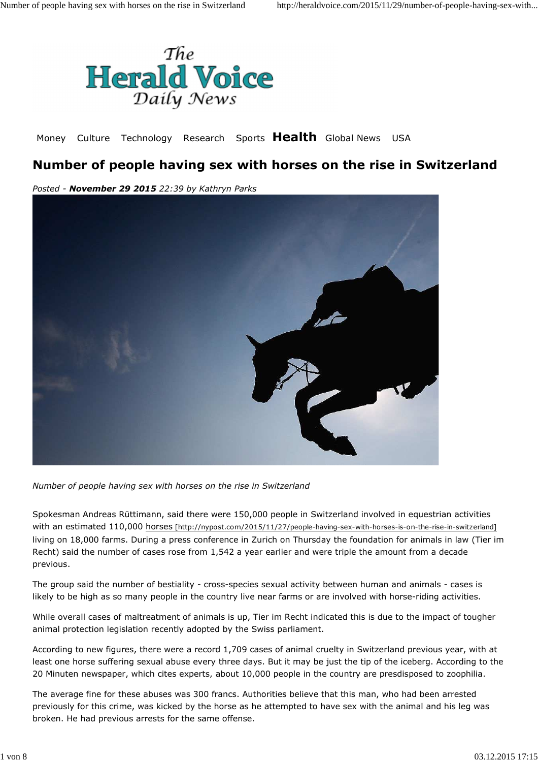

Money Culture Technology Research Sports **Health** Global News USA

## **Number of people having sex with horses on the rise in Switzerland**

*Posted - November 29 2015 22:39 by Kathryn Parks*



*Number of people having sex with horses on the rise in Switzerland*

Spokesman Andreas Rüttimann, said there were 150,000 people in Switzerland involved in equestrian activities with an estimated 110,000 horses [http://nypost.com/2015/11/27/people-having-sex-with-horses-is-on-the-rise-in-switzerland] living on 18,000 farms. During a press conference in Zurich on Thursday the foundation for animals in law (Tier im Recht) said the number of cases rose from 1,542 a year earlier and were triple the amount from a decade previous.

The group said the number of bestiality - cross-species sexual activity between human and animals - cases is likely to be high as so many people in the country live near farms or are involved with horse-riding activities.

While overall cases of maltreatment of animals is up, Tier im Recht indicated this is due to the impact of tougher animal protection legislation recently adopted by the Swiss parliament.

According to new figures, there were a record 1,709 cases of animal cruelty in Switzerland previous year, with at least one horse suffering sexual abuse every three days. But it may be just the tip of the iceberg. According to the 20 Minuten newspaper, which cites experts, about 10,000 people in the country are presdisposed to zoophilia.

The average fine for these abuses was 300 francs. Authorities believe that this man, who had been arrested previously for this crime, was kicked by the horse as he attempted to have sex with the animal and his leg was broken. He had previous arrests for the same offense.